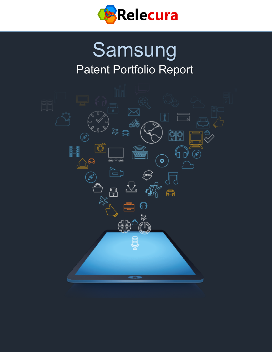

# Samsung Patent Portfolio Report

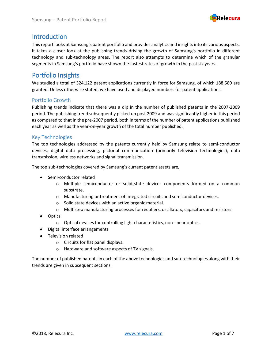

### **Introduction**

This report looks at Samsung's patent portfolio and provides analytics and insights into its various aspects. It takes a closer look at the publishing trends driving the growth of Samsung's portfolio in different technology and sub-technology areas. The report also attempts to determine which of the granular segments in Samsung's portfolio have shown the fastest rates of growth in the past six years.

### Portfolio Insights

We studied a total of 324,122 patent applications currently in force for Samsung, of which 188,589 are granted. Unless otherwise stated, we have used and displayed numbers for patent applications.

#### Portfolio Growth

Publishing trends indicate that there was a dip in the number of published patents in the 2007-2009 period. The publishing trend subsequently picked up post 2009 and was significantly higher in this period as compared to that in the pre-2007 period, both in terms of the number of patent applications published each year as well as the year-on-year growth of the total number published.

#### Key Technologies

The top technologies addressed by the patents currently held by Samsung relate to semi-conductor devices, digital data processing, pictorial communication (primarily television technologies), data transmission, wireless networks and signal transmission.

The top sub-technologies covered by Samsung's current patent assets are,

- Semi-conductor related
	- o Multiple semiconductor or solid-state devices components formed on a common substrate.
	- o Manufacturing or treatment of integrated circuits and semiconductor devices.
	- o Solid state devices with an active organic material.
	- o Multistep manufacturing processes for rectifiers, oscillators, capacitors and resistors.
- Optics
	- o Optical devices for controlling light characteristics, non-linear optics.
- Digital interface arrangements
- Television related
	- o Circuits for flat panel displays.
	- o Hardware and software aspects of TV signals.

The number of published patents in each of the above technologies and sub-technologies along with their trends are given in subsequent sections.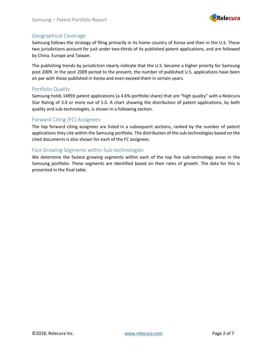

#### Geographical Coverage

Samsung follows the strategy of filing primarily in its home country of Korea and then in the U.S. These two jurisdictions account for just under two-thirds of its published patent applications, and are followed by China, Europe and Taiwan.

The publishing trends by jurisdiction clearly indicate that the U.S. became a higher priority for Samsung post 2009. In the post 2009 period to the present, the number of published U.S. applications have been on par with those published in Korea and even exceed them in certain years.

#### Portfolio Quality

Samsung holds 14993 patent applications (a 4.6% portfolio share) that are "high quality" with a Relecura Star Rating of 3.0 or more out of 5.0. A chart showing the distribution of patent applications, by both quality and sub-technologies, is shown in a following section.

#### Forward Citing (FC) Assignees

The top forward citing assignees are listed in a subsequent sections, ranked by the number of patent applications they cite within the Samsung portfolio. The distribution of the sub-technologies based on the cited documents is also shown for each of the FC assignees.

#### Fast Growing Segments within Sub-technologies

We determine the fastest growing segments within each of the top five sub-technology areas in the Samsung portfolio. These segments are identified based on their rates of growth. The data for this is presented in the final table.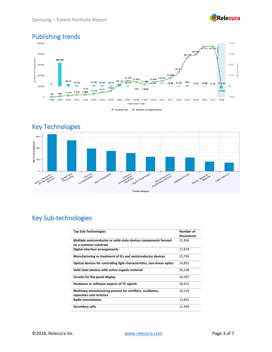



## Publishing trends





### Key Sub-technologies

| <b>Top Sub-Technologies</b>                                                              | Number of<br><b>Documents</b> |
|------------------------------------------------------------------------------------------|-------------------------------|
| Multiple semiconductor or solid-state devices components formed<br>on a common substrate | 31,834                        |
| Digital interface arrangements                                                           | 27,878                        |
| Manufacturing or treatment of ICs and semiconductor devices                              | 25,704                        |
| Optical devices for controlling light characteristics, non-linear optics                 | 24,891                        |
| Solid state devices with active organic material                                         | 20,148                        |
| Circuits for flat panel display                                                          | 19,287                        |
| Hardware or software aspects of TV signals                                               | 18,433                        |
| Multistep manufacturing process for rectifiers, oscillators,<br>capacitors and resistors | 16,110                        |
| <b>Radio transmission</b>                                                                | 13,855                        |
| Secondary cells                                                                          | 11,969                        |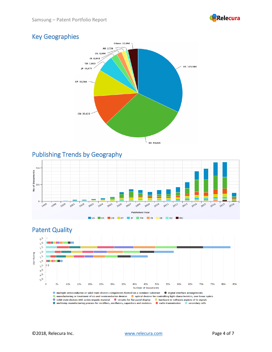

### Key Geographies



Publishing Trends by Geography





manufacturing or treatment of ics and semiconductor devices (a) optical devices for controlling light characteristics, non linear optics Solid state devices with active organic material C circuits for flat panel display C hardware or software aspects of tv signals • Solid State derives with dealer organic indeed and the dealers for the patier display and individual of Solidate dependent of the system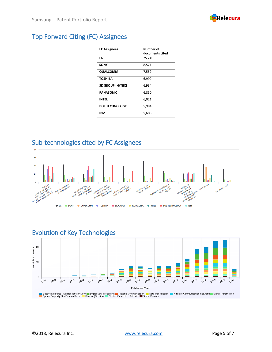

### Top Forward Citing (FC) Assignees

| <b>Number of</b> |
|------------------|
| documents cited  |
| 25,249           |
| 8,571            |
| 7,559            |
| 6,999            |
| 6,934            |
| 6,850            |
| 6,021            |
| 5,984            |
| 5,600            |
|                  |

### Sub-technologies cited by FC Assignees



### Evolution of Key Technologies

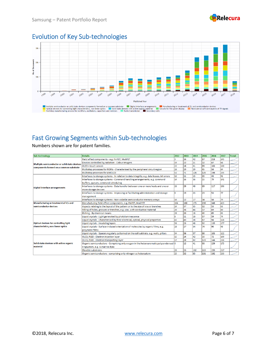

### Evolution of Key Sub-technologies



### Fast Growing Segments within Sub-technologies

Numbers shown are for patent families.

| Sub-technology                                                                           | <b>Details</b>                                                                              | 2012 | 2013            | 2014 | 2015 | 2016 | 2017 | <b>Trend</b> |
|------------------------------------------------------------------------------------------|---------------------------------------------------------------------------------------------|------|-----------------|------|------|------|------|--------------|
| Multiple semiconductor or solid state devices<br>components formed on a common substrate | Field effect components - e.g. FinFET, MuGFET                                               |      | 16              | 42   | 87   | 218  | 245  |              |
|                                                                                          | Devices controlled by radiation - Colour imagers                                            | 19   | 22              | 21   | 32   | 47   | 68   |              |
|                                                                                          | OLED + touch screen                                                                         | 22   | 18              | 41   | 69   | 103  | 130  |              |
|                                                                                          | Multistep processes for ROMs - Characterised by the peripheral circuit region               | 28   | 19              | 29   | 45   | 58   | 84   |              |
|                                                                                          | Multistep processes for AMOLED                                                              | 52   | 71              | 126  | 125  | 198  | 255  |              |
| <b>Digital interface arrangements</b>                                                    | Interfaces to storage systems - In relation to data integrity, e.g. data losses, bit errors | 12   | $\overline{11}$ | 15   | 35   | 43   | 91   |              |
|                                                                                          | Interfaces to storage systems - Command handling arrangements, e.g. command                 | 14   | 16              | 36   | 55   | 79   | 141  |              |
|                                                                                          | buffers, queues, command scheduling                                                         |      |                 |      |      |      |      |              |
|                                                                                          | Interfaces to storage systems - Data transfer between one or more hosts and one or          | 26   | 29              | 48   | 89   | 117  | 196  |              |
|                                                                                          | more storage devices                                                                        |      |                 |      |      |      |      |              |
|                                                                                          | Interfaces to storage systems - Improving or facilitating administration and storage        | 6    | 19              | 23   | 23   | 53   | 77   |              |
|                                                                                          | management                                                                                  |      |                 |      |      |      |      |              |
|                                                                                          | Interfaces to storage systems - Non-volatile semiconductor memory arrays                    | 10   | 12              | 17   | 34   | 58   | 79   |              |
| Manufacturing or treatment of ICs and                                                    | Manufacturing field effect components, e.g. FinFET, MuGFET                                  | 104  | 100             | 173  | 196  | 348  | 423  |              |
| semiconductor devices                                                                    | Aspects relating to the layout of the pattern or to the size of vias or trenches            | 24   | 37              | 135  | 32   | 53   | 63   |              |
|                                                                                          | Filling of holes, grooves or trenches, e.g. vias, with conductive material                  | 20   | 36              | 46   | 57   | 69   | 80   |              |
|                                                                                          | Etching - By chemical means                                                                 | 26   | 20              | 18   | 40   | 65   | 63   |              |
| <b>Optical devices for controlling light</b>                                             | Liquid crystals - Light generated by photoluminescence                                      |      | 11              | 16   | 37   | 59   | 74   |              |
|                                                                                          | Liquid crystals - Characterised by their electrical, optical, physical properties           | 43   | 43              | 38   | 67   | 94   | 128  |              |
|                                                                                          | Liquid crystals - Insulating layers                                                         | 58   | 23              | 48   | 92   | 135  | 177  |              |
| characteristics, non linear optics                                                       | Liquid crystals - Surface-induced orientation of molecules by organic films, e.g.           | 28   | 27              | 34   | 74   | 90   | 98   |              |
|                                                                                          | polymeric films                                                                             |      |                 |      |      |      |      |              |
|                                                                                          | Liquid crystals - Spacers regularly patterned on the cell subtrate, e.g. walls, pillars     | 54   | 56              | 57   | 86   | 103  | 122  |              |
| Solid state devices with active organic<br>material                                      | OLED, PLED - Electron injection layer                                                       | 15   | 24              | 42   | 50   | 72   | 109  |              |
|                                                                                          | OLED, PLED - Electron transporting layer                                                    | 17   | 28              | 82   | 123  | 144  | 218  |              |
|                                                                                          | Organic semiconductors - Comprising only oxygen in the heteroaromatic polycondensed 6       |      | 12              | 41   | 93   | 159  | 175  |              |
|                                                                                          | ringsystem, e.g. cumarine dyes                                                              |      |                 |      |      |      |      |              |
|                                                                                          | <b>Flexible substrates</b>                                                                  | 20   | 33              | 102  | 113  | 159  | 217  |              |
|                                                                                          | Organic semiconductors - comprising only nitrogen as heteroatom                             | 25   | 32              | 85   | 131  | 192  | 233  |              |